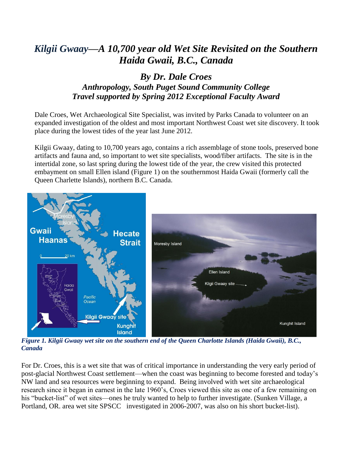## *Kilgii Gwaay—A 10,700 year old Wet Site Revisited on the Southern Haida Gwaii, B.C., Canada*

## *By Dr. Dale Croes Anthropology, South Puget Sound Community College Travel supported by Spring 2012 Exceptional Faculty Award*

Dale Croes, Wet Archaeological Site Specialist, was invited by Parks Canada to volunteer on an expanded investigation of the oldest and most important Northwest Coast wet site discovery. It took place during the lowest tides of the year last June 2012.

Kilgii Gwaay, dating to 10,700 years ago, contains a rich assemblage of stone tools, preserved bone artifacts and fauna and, so important to wet site specialists, wood/fiber artifacts. The site is in the intertidal zone, so last spring during the lowest tide of the year, the crew visited this protected embayment on small Ellen island (Figure 1) on the southernmost Haida Gwaii (formerly call the Queen Charlette Islands), northern B.C. Canada.



*Figure 1. Kilgii Gwaay wet site on the southern end of the Queen Charlotte Islands (Haida Gwaii), B.C., Canada*

For Dr. Croes, this is a wet site that was of critical importance in understanding the very early period of post-glacial Northwest Coast settlement—when the coast was beginning to become forested and today's NW land and sea resources were beginning to expand. Being involved with wet site archaeological research since it began in earnest in the late 1960's, Croes viewed this site as one of a few remaining on his "bucket-list" of wet sites—ones he truly wanted to help to further investigate. (Sunken Village, a Portland, OR. area wet site SPSCC investigated in 2006-2007, was also on his short bucket-list).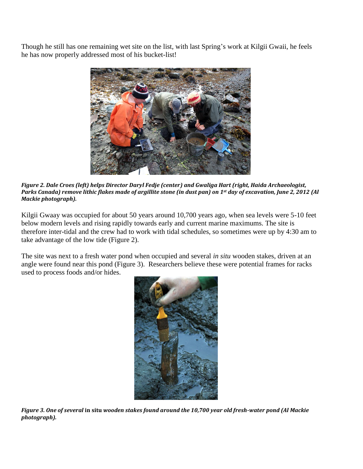Though he still has one remaining wet site on the list, with last Spring's work at Kilgii Gwaii, he feels he has now properly addressed most of his bucket-list!



*Figure 2. Dale Croes (left) helps Director Daryl Fedje (center) and Gwaliga Hart (right, Haida Archaeologist, Parks Canada) remove lithic flakes made of argillite stone (in dust pan) on 1st day of excavation, June 2, 2012 (Al Mackie photograph).*

Kilgii Gwaay was occupied for about 50 years around 10,700 years ago, when sea levels were 5-10 feet below modern levels and rising rapidly towards early and current marine maximums. The site is therefore inter-tidal and the crew had to work with tidal schedules, so sometimes were up by 4:30 am to take advantage of the low tide (Figure 2).

The site was next to a fresh water pond when occupied and several *in situ* wooden stakes, driven at an angle were found near this pond (Figure 3). Researchers believe these were potential frames for racks used to process foods and/or hides.



*Figure 3. One of several* **in situ** *wooden stakes found around the 10,700 year old fresh-water pond (Al Mackie photograph).*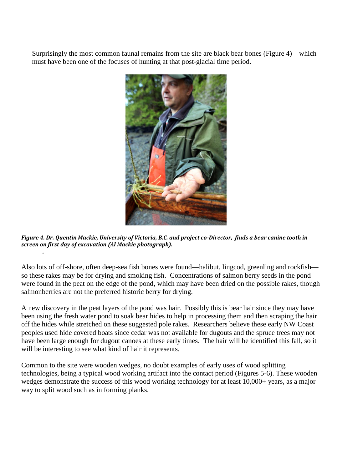Surprisingly the most common faunal remains from the site are black bear bones (Figure 4)—which must have been one of the focuses of hunting at that post-glacial time period.



*Figure 4. Dr. Quentin Mackie, University of Victoria, B.C. and project co-Director, finds a bear canine tooth in screen on first day of excavation (Al Mackie photograph).*

*.*

Also lots of off-shore, often deep-sea fish bones were found—halibut, lingcod, greenling and rockfish so these rakes may be for drying and smoking fish. Concentrations of salmon berry seeds in the pond were found in the peat on the edge of the pond, which may have been dried on the possible rakes, though salmonberries are not the preferred historic berry for drying.

A new discovery in the peat layers of the pond was hair*.* Possibly this is bear hair since they may have been using the fresh water pond to soak bear hides to help in processing them and then scraping the hair off the hides while stretched on these suggested pole rakes. Researchers believe these early NW Coast peoples used hide covered boats since cedar was not available for dugouts and the spruce trees may not have been large enough for dugout canoes at these early times. The hair will be identified this fall, so it will be interesting to see what kind of hair it represents.

Common to the site were wooden wedges, no doubt examples of early uses of wood splitting technologies, being a typical wood working artifact into the contact period (Figures 5-6). These wooden wedges demonstrate the success of this wood working technology for at least 10,000+ years, as a major way to split wood such as in forming planks.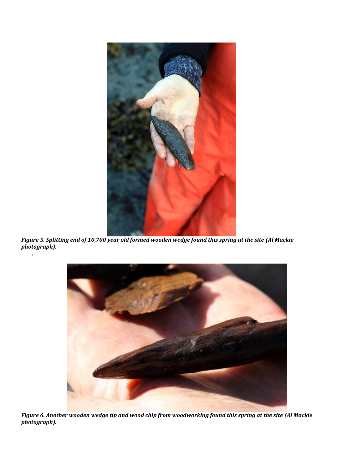

*Figure 5. Splitting end of 10,700 year old formed wooden wedge found this spring at the site (Al Mackie photograph).*

*.*



*Figure 6. Another wooden wedge tip and wood chip from woodworking found this spring at the site (Al Mackie photograph).*